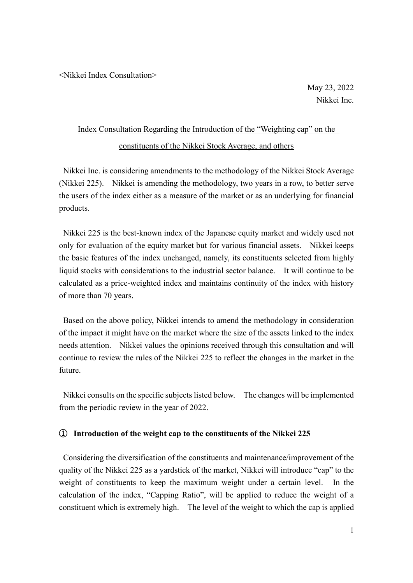<Nikkei Index Consultation>

May 23, 2022 Nikkei Inc.

## Index Consultation Regarding the Introduction of the "Weighting cap" on the constituents of the Nikkei Stock Average, and others

Nikkei Inc. is considering amendments to the methodology of the Nikkei Stock Average (Nikkei 225). Nikkei is amending the methodology, two years in a row, to better serve the users of the index either as a measure of the market or as an underlying for financial products.

Nikkei 225 is the best-known index of the Japanese equity market and widely used not only for evaluation of the equity market but for various financial assets. Nikkei keeps the basic features of the index unchanged, namely, its constituents selected from highly liquid stocks with considerations to the industrial sector balance. It will continue to be calculated as a price-weighted index and maintains continuity of the index with history of more than 70 years.

Based on the above policy, Nikkei intends to amend the methodology in consideration of the impact it might have on the market where the size of the assets linked to the index needs attention. Nikkei values the opinions received through this consultation and will continue to review the rules of the Nikkei 225 to reflect the changes in the market in the future.

Nikkei consults on the specific subjects listed below. The changes will be implemented from the periodic review in the year of 2022.

## ① **Introduction of the weight cap to the constituents of the Nikkei 225**

Considering the diversification of the constituents and maintenance/improvement of the quality of the Nikkei 225 as a yardstick of the market, Nikkei will introduce "cap" to the weight of constituents to keep the maximum weight under a certain level. In the calculation of the index, "Capping Ratio", will be applied to reduce the weight of a constituent which is extremely high. The level of the weight to which the cap is applied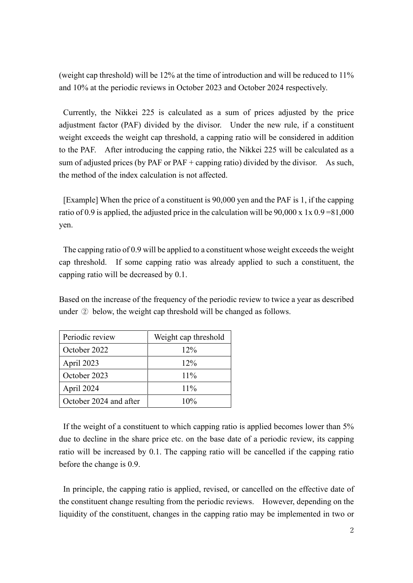(weight cap threshold) will be 12% at the time of introduction and will be reduced to 11% and 10% at the periodic reviews in October 2023 and October 2024 respectively.

Currently, the Nikkei 225 is calculated as a sum of prices adjusted by the price adjustment factor (PAF) divided by the divisor. Under the new rule, if a constituent weight exceeds the weight cap threshold, a capping ratio will be considered in addition to the PAF. After introducing the capping ratio, the Nikkei 225 will be calculated as a sum of adjusted prices (by PAF or PAF + capping ratio) divided by the divisor. As such, the method of the index calculation is not affected.

[Example] When the price of a constituent is 90,000 yen and the PAF is 1, if the capping ratio of 0.9 is applied, the adjusted price in the calculation will be  $90,000 \times 1 \times 0.9 = 81,000$ yen.

The capping ratio of 0.9 will be applied to a constituent whose weight exceeds the weight cap threshold. If some capping ratio was already applied to such a constituent, the capping ratio will be decreased by 0.1.

Based on the increase of the frequency of the periodic review to twice a year as described under ② below, the weight cap threshold will be changed as follows.

| Periodic review        | Weight cap threshold |
|------------------------|----------------------|
| October 2022           | $12\%$               |
| April 2023             | $12\%$               |
| October 2023           | $11\%$               |
| April 2024             | $11\%$               |
| October 2024 and after | $10\%$               |

If the weight of a constituent to which capping ratio is applied becomes lower than 5% due to decline in the share price etc. on the base date of a periodic review, its capping ratio will be increased by 0.1. The capping ratio will be cancelled if the capping ratio before the change is 0.9.

In principle, the capping ratio is applied, revised, or cancelled on the effective date of the constituent change resulting from the periodic reviews. However, depending on the liquidity of the constituent, changes in the capping ratio may be implemented in two or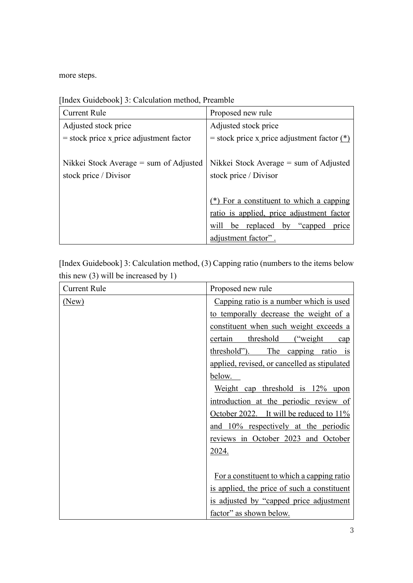more steps.

| <b>Current Rule</b>                       | Proposed new rule                             |
|-------------------------------------------|-----------------------------------------------|
| Adjusted stock price                      | Adjusted stock price                          |
| $=$ stock price x price adjustment factor | = stock price x price adjustment factor $(*)$ |
|                                           |                                               |
| Nikkei Stock Average $=$ sum of Adjusted  | Nikkei Stock Average $=$ sum of Adjusted      |
| stock price / Divisor                     | stock price / Divisor                         |
|                                           |                                               |
|                                           | (*) For a constituent to which a capping      |
|                                           | ratio is applied, price adjustment factor     |
|                                           | will be replaced by "capped"<br>price         |
|                                           | adjustment factor".                           |

[Index Guidebook] 3: Calculation method, Preamble

[Index Guidebook] 3: Calculation method, (3) Capping ratio (numbers to the items below this new (3) will be increased by 1)

| <b>Current Rule</b> | Proposed new rule                            |
|---------------------|----------------------------------------------|
| (New)               | Capping ratio is a number which is used      |
|                     | to temporally decrease the weight of a       |
|                     | constituent when such weight exceeds a       |
|                     | threshold<br>certain<br>("weight")<br>cap    |
|                     | threshold").<br>The capping ratio is         |
|                     | applied, revised, or cancelled as stipulated |
|                     | below.                                       |
|                     | Weight cap threshold is 12% upon             |
|                     | introduction at the periodic review of       |
|                     | October 2022. It will be reduced to 11%      |
|                     | and 10% respectively at the periodic         |
|                     | reviews in October 2023 and October          |
|                     | 2024.                                        |
|                     |                                              |
|                     | For a constituent to which a capping ratio   |
|                     | is applied, the price of such a constituent  |
|                     | is adjusted by "capped price adjustment      |
|                     | factor" as shown below.                      |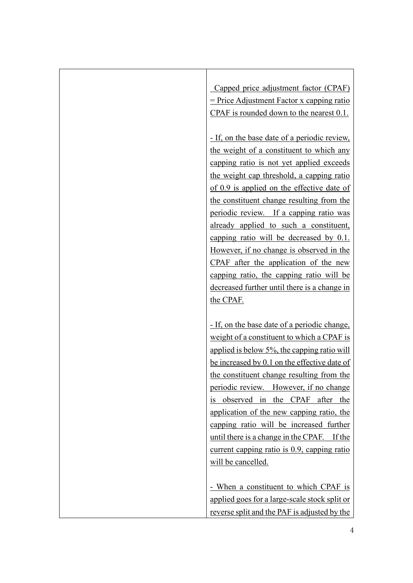Capped price adjustment factor (CPAF) = Price Adjustment Factor x capping ratio CPAF is rounded down to the nearest 0.1.

- If, on the base date of a periodic review, the weight of a constituent to which any capping ratio is not yet applied exceeds the weight cap threshold, a capping ratio of 0.9 is applied on the effective date of the constituent change resulting from the periodic review. If a capping ratio was already applied to such a constituent, capping ratio will be decreased by 0.1. However, if no change is observed in the CPAF after the application of the new capping ratio, the capping ratio will be decreased further until there is a change in the CPAF.

- If, on the base date of a periodic change, weight of a constituent to which a CPAF is applied is below 5%, the capping ratio will be increased by 0.1 on the effective date of the constituent change resulting from the periodic review. However, if no change is observed in the CPAF after the application of the new capping ratio, the capping ratio will be increased further until there is a change in the CPAF. If the current capping ratio is 0.9, capping ratio will be cancelled.

- When a constituent to which CPAF is applied goes for a large-scale stock split or reverse split and the PAF is adjusted by the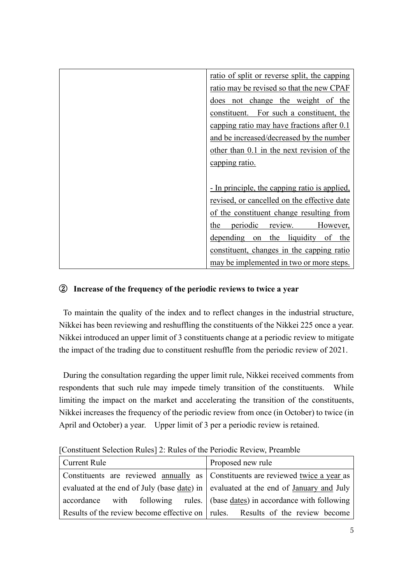| <u>ratio of split or reverse split, the capping</u>  |
|------------------------------------------------------|
| ratio may be revised so that the new CPAF            |
| does not change the weight of the                    |
| constituent. For such a constituent, the             |
| capping ratio may have fractions after 0.1           |
| and be increased/decreased by the number             |
| other than 0.1 in the next revision of the           |
| capping ratio.                                       |
|                                                      |
| <u>- In principle, the capping ratio is applied,</u> |
| revised, or cancelled on the effective date          |
| of the constituent change resulting from             |
| periodic<br>the<br>review.<br>However,               |
| depending on the liquidity<br>of the                 |
| constituent, changes in the capping ratio            |
| may be implemented in two or more steps.             |

## ② **Increase of the frequency of the periodic reviews to twice a year**

To maintain the quality of the index and to reflect changes in the industrial structure, Nikkei has been reviewing and reshuffling the constituents of the Nikkei 225 once a year. Nikkei introduced an upper limit of 3 constituents change at a periodic review to mitigate the impact of the trading due to constituent reshuffle from the periodic review of 2021.

During the consultation regarding the upper limit rule, Nikkei received comments from respondents that such rule may impede timely transition of the constituents. While limiting the impact on the market and accelerating the transition of the constituents, Nikkei increases the frequency of the periodic review from once (in October) to twice (in April and October) a year. Upper limit of 3 per a periodic review is retained.

| Current Rule                                                                           | Proposed new rule                                                                                      |  |  |
|----------------------------------------------------------------------------------------|--------------------------------------------------------------------------------------------------------|--|--|
| Constituents are reviewed annually as Constituents are reviewed twice a year as        |                                                                                                        |  |  |
| evaluated at the end of July (base date) in   evaluated at the end of January and July |                                                                                                        |  |  |
|                                                                                        | $\alpha$ accordance with following rules. (base $\frac{\alpha}{\alpha}$ ) in accordance with following |  |  |
| Results of the review become effective on   rules. Results of the review become        |                                                                                                        |  |  |

[Constituent Selection Rules] 2: Rules of the Periodic Review, Preamble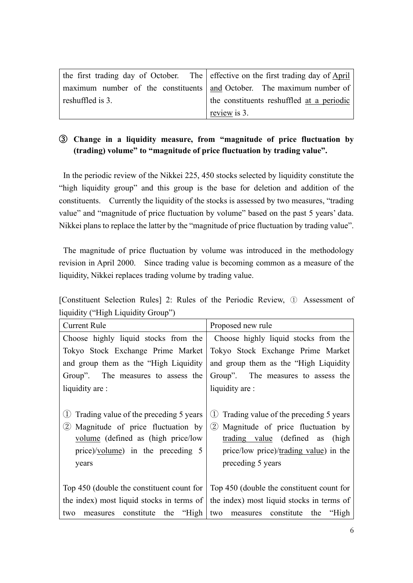|                  | the first trading day of October. The effective on the first trading day of April |
|------------------|-----------------------------------------------------------------------------------|
|                  | maximum number of the constituents   and October. The maximum number of           |
| reshuffled is 3. | the constituents reshuffled at a periodic                                         |
|                  | review is 3.                                                                      |

## ③ **Change in a liquidity measure, from "magnitude of price fluctuation by (trading) volume" to "magnitude of price fluctuation by trading value".**

In the periodic review of the Nikkei 225, 450 stocks selected by liquidity constitute the "high liquidity group" and this group is the base for deletion and addition of the constituents. Currently the liquidity of the stocks is assessed by two measures, "trading value" and "magnitude of price fluctuation by volume" based on the past 5 years' data. Nikkei plans to replace the latter by the "magnitude of price fluctuation by trading value".

The magnitude of price fluctuation by volume was introduced in the methodology revision in April 2000. Since trading value is becoming common as a measure of the liquidity, Nikkei replaces trading volume by trading value.

|                                    |  |  |  |  | [Constituent Selection Rules] 2: Rules of the Periodic Review, 1 Assessment of |  |
|------------------------------------|--|--|--|--|--------------------------------------------------------------------------------|--|
| liquidity ("High Liquidity Group") |  |  |  |  |                                                                                |  |

| <b>Current Rule</b>                                    | Proposed new rule                             |  |  |  |  |  |
|--------------------------------------------------------|-----------------------------------------------|--|--|--|--|--|
| Choose highly liquid stocks from the                   | Choose highly liquid stocks from the          |  |  |  |  |  |
| Tokyo Stock Exchange Prime Market                      | Tokyo Stock Exchange Prime Market             |  |  |  |  |  |
| and group them as the "High Liquidity"                 | and group them as the "High Liquidity"        |  |  |  |  |  |
| Group". The measures to assess the                     | Group". The measures to assess the            |  |  |  |  |  |
| liquidity are :                                        | liquidity are :                               |  |  |  |  |  |
|                                                        |                                               |  |  |  |  |  |
| Trading value of the preceding 5 years                 | Trading value of the preceding 5 years<br>(1) |  |  |  |  |  |
| Magnitude of price fluctuation by<br>$\left( 2\right)$ | 2) Magnitude of price fluctuation by          |  |  |  |  |  |
| volume (defined as (high price/low                     | trading value (defined as<br>(high            |  |  |  |  |  |
| price)/ $volume$ in the preceding 5                    | price/low price)/trading value) in the        |  |  |  |  |  |
| years                                                  | preceding 5 years                             |  |  |  |  |  |
|                                                        |                                               |  |  |  |  |  |
| Top 450 (double the constituent count for              | Top 450 (double the constituent count for     |  |  |  |  |  |
| the index) most liquid stocks in terms of              | the index) most liquid stocks in terms of     |  |  |  |  |  |
| constitute the "High"<br>two<br>measures               | measures constitute<br>the "High"<br>two      |  |  |  |  |  |